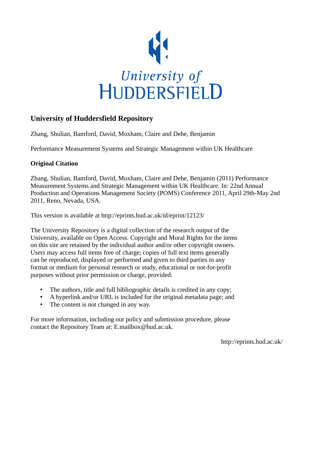

# **University of Huddersfield Repository**

Zhang, Shulian, Bamford, David, Moxham, Claire and Dehe, Benjamin

Performance Measurement Systems and Strategic Management within UK Healthcare

## **Original Citation**

Zhang, Shulian, Bamford, David, Moxham, Claire and Dehe, Benjamin (2011) Performance Measurement Systems and Strategic Management within UK Healthcare. In: 22nd Annual Production and Operations Management Society (POMS) Conference 2011, April 29th-May 2nd 2011, Reno, Nevada, USA.

This version is available at http://eprints.hud.ac.uk/id/eprint/12123/

The University Repository is a digital collection of the research output of the University, available on Open Access. Copyright and Moral Rights for the items on this site are retained by the individual author and/or other copyright owners. Users may access full items free of charge; copies of full text items generally can be reproduced, displayed or performed and given to third parties in any format or medium for personal research or study, educational or not-for-profit purposes without prior permission or charge, provided:

- The authors, title and full bibliographic details is credited in any copy;
- A hyperlink and/or URL is included for the original metadata page; and
- The content is not changed in any way.

For more information, including our policy and submission procedure, please contact the Repository Team at: E.mailbox@hud.ac.uk.

http://eprints.hud.ac.uk/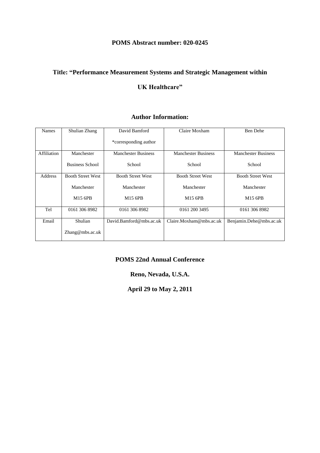## **POMS Abstract number: 020-0245**

## **Title: "Performance Measurement Systems and Strategic Management within**

## **UK Healthcare"**

## **Author Information:**

| Names       | Shulian Zhang            | David Bamford              | Claire Moxham              | Ben Dehe                   |
|-------------|--------------------------|----------------------------|----------------------------|----------------------------|
|             |                          | *corresponding author      |                            |                            |
| Affiliation | Manchester               | <b>Manchester Business</b> | <b>Manchester Business</b> | <b>Manchester Business</b> |
|             | <b>Business School</b>   | School                     | School                     | School                     |
| Address     | <b>Booth Street West</b> | <b>Booth Street West</b>   | <b>Booth Street West</b>   | <b>Booth Street West</b>   |
|             | Manchester               | Manchester                 | Manchester                 | Manchester                 |
|             | M <sub>15</sub> 6PB      | M <sub>15</sub> 6PB        | M <sub>15</sub> 6PB        | M15 6PB                    |
| Tel         | 0161 306 8982            | 0161 306 8982              | 0161 200 3495              | 0161 306 8982              |
| Email       | Shulian                  | David.Bamford@mbs.ac.uk    | Claire.Moxham@mbs.ac.uk    | Benjamin.Dehe@mbs.ac.uk    |
|             | Zhang@mbs.ac.uk          |                            |                            |                            |

## **POMS 22nd Annual Conference**

## **Reno, Nevada, U.S.A.**

**April 29 to May 2, 2011**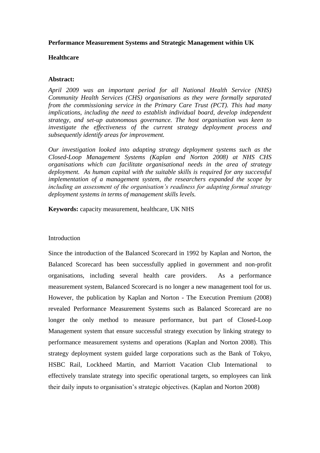### **Performance Measurement Systems and Strategic Management within UK**

### **Healthcare**

### **Abstract:**

*April 2009 was an important period for all National Health Service (NHS) Community Health Services (CHS) organisations as they were formally separated from the commissioning service in the Primary Care Trust (PCT). This had many implications, including the need to establish individual board, develop independent strategy, and set-up autonomous governance. The host organisation was keen to investigate the effectiveness of the current strategy deployment process and subsequently identify areas for improvement.* 

*Our investigation looked into adapting strategy deployment systems such as the Closed-Loop Management Systems (Kaplan and Norton 2008) at NHS CHS organisations which can facilitate organisational needs in the area of strategy deployment. As human capital with the suitable skills is required for any successful implementation of a management system, the researchers expanded the scope by including an assessment of the organisation's readiness for adapting formal strategy deployment systems in terms of management skills levels.* 

**Keywords:** capacity measurement, healthcare, UK NHS

Introduction

Since the introduction of the Balanced Scorecard in 1992 by Kaplan and Norton, the Balanced Scorecard has been successfully applied in government and non-profit organisations, including several health care providers. As a performance measurement system, Balanced Scorecard is no longer a new management tool for us. However, the publication by Kaplan and Norton - The Execution Premium (2008) revealed Performance Measurement Systems such as Balanced Scorecard are no longer the only method to measure performance, but part of Closed-Loop Management system that ensure successful strategy execution by linking strategy to performance measurement systems and operations (Kaplan and Norton 2008). This strategy deployment system guided large corporations such as the Bank of Tokyo, HSBC Rail, Lockheed Martin, and Marriott Vacation Club International to effectively translate strategy into specific operational targets, so employees can link their daily inputs to organisation's strategic objectives. (Kaplan and Norton 2008)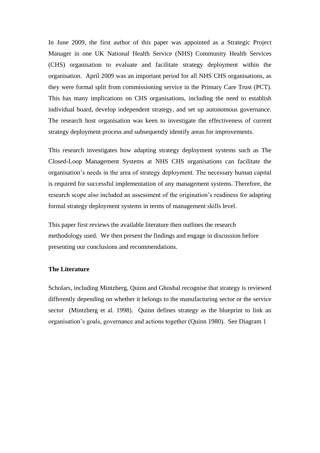In June 2009, the first author of this paper was appointed as a Strategic Project Manager in one UK National Health Service (NHS) Community Health Services (CHS) organisation to evaluate and facilitate strategy deployment within the organisation. April 2009 was an important period for all NHS CHS organisations, as they were formal split from commissioning service in the Primary Care Trust (PCT). This has many implications on CHS organisations, including the need to establish individual board, develop independent strategy, and set up autonomous governance. The research host organisation was keen to investigate the effectiveness of current strategy deployment process and subsequently identify areas for improvements.

This research investigates how adapting strategy deployment systems such as The Closed-Loop Management Systems at NHS CHS organisations can facilitate the organisation's needs in the area of strategy deployment. The necessary human capital is required for successful implementation of any management systems. Therefore, the research scope also included an assessment of the origination's readiness for adapting formal strategy deployment systems in terms of management skills level.

This paper first reviews the available literature then outlines the research methodology used. We then present the findings and engage in discussion before presenting our conclusions and recommendations.

### **The Literature**

Scholars, including Mintzberg, Quinn and Ghoshal recognise that strategy is reviewed differently depending on whether it belongs to the manufacturing sector or the service sector (Mintzberg et al. 1998). Quinn defines strategy as the blueprint to link an organisation's goals, governance and actions together (Quinn 1980). See Diagram 1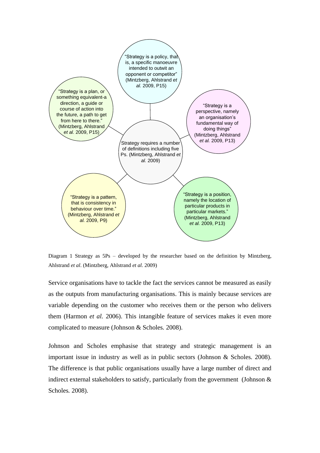

Diagram 1 Strategy as 5Ps – developed by the researcher based on the definition by Mintzberg, Ahlstrand *et al*. (Mintzberg, Ahlstrand *et al.* 2009)

Service organisations have to tackle the fact the services cannot be measured as easily as the outputs from manufacturing organisations. This is mainly because services are variable depending on the customer who receives them or the person who delivers them (Harmon *et al.* 2006). This intangible feature of services makes it even more complicated to measure (Johnson & Scholes*.* 2008).

Johnson and Scholes emphasise that strategy and strategic management is an important issue in industry as well as in public sectors (Johnson & Scholes*.* 2008). The difference is that public organisations usually have a large number of direct and indirect external stakeholders to satisfy, particularly from the government (Johnson & Scholes*.* 2008).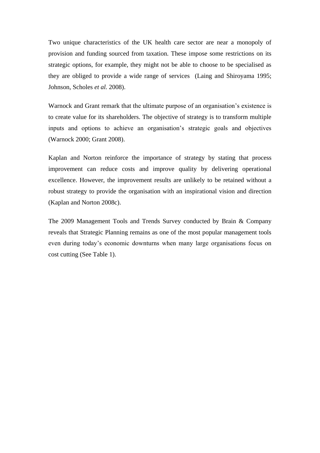Two unique characteristics of the UK health care sector are near a monopoly of provision and funding sourced from taxation. These impose some restrictions on its strategic options, for example, they might not be able to choose to be specialised as they are obliged to provide a wide range of services (Laing and Shiroyama 1995; Johnson, Scholes *et al.* 2008).

Warnock and Grant remark that the ultimate purpose of an organisation's existence is to create value for its shareholders. The objective of strategy is to transform multiple inputs and options to achieve an organisation's strategic goals and objectives (Warnock 2000; Grant 2008).

Kaplan and Norton reinforce the importance of strategy by stating that process improvement can reduce costs and improve quality by delivering operational excellence. However, the improvement results are unlikely to be retained without a robust strategy to provide the organisation with an inspirational vision and direction (Kaplan and Norton 2008c).

The 2009 Management Tools and Trends Survey conducted by Brain & Company reveals that Strategic Planning remains as one of the most popular management tools even during today's economic downturns when many large organisations focus on cost cutting (See Table 1).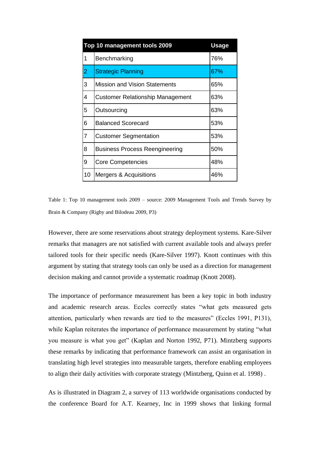| Top 10 management tools 2009<br><b>Usage</b> |                                         |     |  |
|----------------------------------------------|-----------------------------------------|-----|--|
| 1                                            | Benchmarking                            | 76% |  |
| $\overline{2}$                               | <b>Strategic Planning</b>               | 67% |  |
| 3                                            | <b>Mission and Vision Statements</b>    | 65% |  |
| 4                                            | <b>Customer Relationship Management</b> | 63% |  |
| 5                                            | Outsourcing                             | 63% |  |
| 6                                            | <b>Balanced Scorecard</b>               | 53% |  |
| $\overline{7}$                               | <b>Customer Segmentation</b>            | 53% |  |
| 8                                            | <b>Business Process Reengineering</b>   | 50% |  |
| 9                                            | <b>Core Competencies</b>                | 48% |  |
| 10                                           | Mergers & Acquisitions                  | 46% |  |

Table 1: Top 10 management tools 2009 – source: 2009 Management Tools and Trends Survey by Brain & Company (Rigby and Bilodeau 2009, P3)

However, there are some reservations about strategy deployment systems. Kare-Silver remarks that managers are not satisfied with current available tools and always prefer tailored tools for their specific needs (Kare-Silver 1997). Knott continues with this argument by stating that strategy tools can only be used as a direction for management decision making and cannot provide a systematic roadmap (Knott 2008).

The importance of performance measurement has been a key topic in both industry and academic research areas. Eccles correctly states "what gets measured gets attention, particularly when rewards are tied to the measures" (Eccles 1991, P131), while Kaplan reiterates the importance of performance measurement by stating "what you measure is what you get" (Kaplan and Norton 1992, P71). Mintzberg supports these remarks by indicating that performance framework can assist an organisation in translating high level strategies into measurable targets, therefore enabling employees to align their daily activities with corporate strategy (Mintzberg, Quinn et al. 1998) .

As is illustrated in Diagram 2, a survey of 113 worldwide organisations conducted by the conference Board for A.T. Kearney, Inc in 1999 shows that linking formal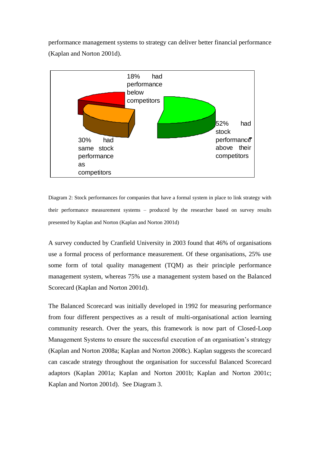performance management systems to strategy can deliver better financial performance (Kaplan and Norton 2001d).



Diagram 2: Stock performances for companies that have a formal system in place to link strategy with their performance measurement systems – produced by the researcher based on survey results presented by Kaplan and Norton (Kaplan and Norton 2001d)

A survey conducted by Cranfield University in 2003 found that 46% of organisations use a formal process of performance measurement. Of these organisations, 25% use some form of total quality management (TQM) as their principle performance management system, whereas 75% use a management system based on the Balanced Scorecard (Kaplan and Norton 2001d).

The Balanced Scorecard was initially developed in 1992 for measuring performance from four different perspectives as a result of multi-organisational action learning community research. Over the years, this framework is now part of Closed-Loop Management Systems to ensure the successful execution of an organisation's strategy (Kaplan and Norton 2008a; Kaplan and Norton 2008c). Kaplan suggests the scorecard can cascade strategy throughout the organisation for successful Balanced Scorecard adaptors (Kaplan 2001a; Kaplan and Norton 2001b; Kaplan and Norton 2001c; Kaplan and Norton 2001d). See Diagram 3.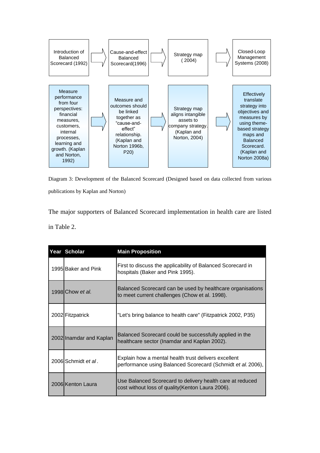

Diagram 3: Development of the Balanced Scorecard (Designed based on data collected from various publications by Kaplan and Norton)

The major supporters of Balanced Scorecard implementation in health care are listed in Table 2.

| Year Scholar            | <b>Main Proposition</b>                                                                                             |
|-------------------------|---------------------------------------------------------------------------------------------------------------------|
| 1995 Baker and Pink     | First to discuss the applicability of Balanced Scorecard in<br>hospitals (Baker and Pink 1995).                     |
| 1998 Chow et al.        | Balanced Scorecard can be used by healthcare organisations<br>to meet current challenges (Chow et al. 1998).        |
| 2002 Fitzpatrick        | "Let's bring balance to health care" (Fitzpatrick 2002, P35)                                                        |
| 2002 Inamdar and Kaplan | Balanced Scorecard could be successfully applied in the<br>healthcare sector (Inamdar and Kaplan 2002).             |
| 2006 Schmidt et al.     | Explain how a mental health trust delivers excellent<br>performance using Balanced Scorecard (Schmidt et al. 2006), |
| 2006 Kenton Laura       | Use Balanced Scorecard to delivery health care at reduced<br>cost without loss of quality (Kenton Laura 2006).      |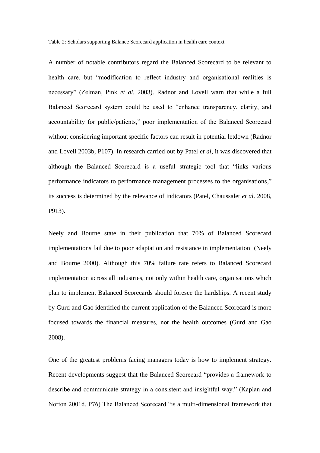Table 2: Scholars supporting Balance Scorecard application in health care context

A number of notable contributors regard the Balanced Scorecard to be relevant to health care, but "modification to reflect industry and organisational realities is necessary" (Zelman, Pink *et al.* 2003). Radnor and Lovell warn that while a full Balanced Scorecard system could be used to "enhance transparency, clarity, and accountability for public/patients," poor implementation of the Balanced Scorecard without considering important specific factors can result in potential letdown (Radnor and Lovell 2003b, P107). In research carried out by Patel *et al*, it was discovered that although the Balanced Scorecard is a useful strategic tool that "links various performance indicators to performance management processes to the organisations," its success is determined by the relevance of indicators (Patel, Chaussalet *et al*. 2008, P913).

Neely and Bourne state in their publication that 70% of Balanced Scorecard implementations fail due to poor adaptation and resistance in implementation (Neely and Bourne 2000). Although this 70% failure rate refers to Balanced Scorecard implementation across all industries, not only within health care, organisations which plan to implement Balanced Scorecards should foresee the hardships. A recent study by Gurd and Gao identified the current application of the Balanced Scorecard is more focused towards the financial measures, not the health outcomes (Gurd and Gao 2008).

One of the greatest problems facing managers today is how to implement strategy. Recent developments suggest that the Balanced Scorecard "provides a framework to describe and communicate strategy in a consistent and insightful way." (Kaplan and Norton 2001d, P76) The Balanced Scorecard "is a multi-dimensional framework that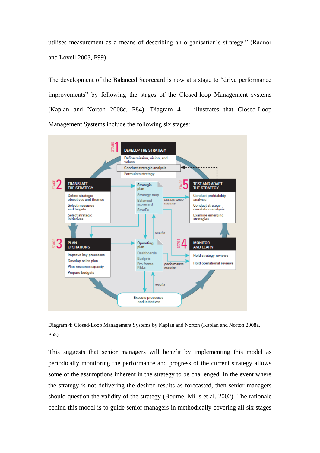utilises measurement as a means of describing an organisation's strategy." (Radnor and Lovell 2003, P99)

The development of the Balanced Scorecard is now at a stage to "drive performance improvements" by following the stages of the Closed-loop Management systems (Kaplan and Norton 2008c, P84). Diagram 4 illustrates that Closed-Loop Management Systems include the following six stages:



Diagram 4: Closed-Loop Management Systems by Kaplan and Norton (Kaplan and Norton 2008a, P65)

This suggests that senior managers will benefit by implementing this model as periodically monitoring the performance and progress of the current strategy allows some of the assumptions inherent in the strategy to be challenged. In the event where the strategy is not delivering the desired results as forecasted, then senior managers should question the validity of the strategy (Bourne, Mills et al. 2002). The rationale behind this model is to guide senior managers in methodically covering all six stages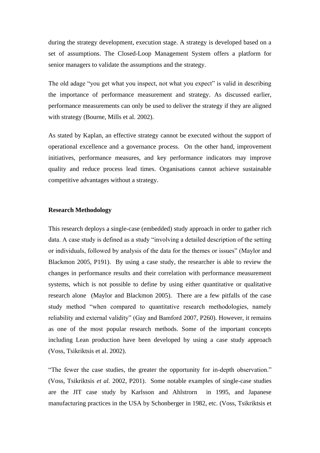during the strategy development, execution stage. A strategy is developed based on a set of assumptions. The Closed-Loop Management System offers a platform for senior managers to validate the assumptions and the strategy.

The old adage "you get what you inspect, not what you expect" is valid in describing the importance of performance measurement and strategy. As discussed earlier, performance measurements can only be used to deliver the strategy if they are aligned with strategy (Bourne, Mills et al. 2002).

As stated by Kaplan, an effective strategy cannot be executed without the support of operational excellence and a governance process. On the other hand, improvement initiatives, performance measures, and key performance indicators may improve quality and reduce process lead times. Organisations cannot achieve sustainable competitive advantages without a strategy.

### **Research Methodology**

This research deploys a single-case (embedded) study approach in order to gather rich data. A case study is defined as a study "involving a detailed description of the setting or individuals, followed by analysis of the data for the themes or issues" (Maylor and Blackmon 2005, P191). By using a case study, the researcher is able to review the changes in performance results and their correlation with performance measurement systems, which is not possible to define by using either quantitative or qualitative research alone (Maylor and Blackmon 2005). There are a few pitfalls of the case study method "when compared to quantitative research methodologies, namely reliability and external validity" (Gay and Bamford 2007, P260). However, it remains as one of the most popular research methods. Some of the important concepts including Lean production have been developed by using a case study approach (Voss, Tsikriktsis et al. 2002).

"The fewer the case studies, the greater the opportunity for in-depth observation." (Voss, Tsikriktsis *et al.* 2002, P201). Some notable examples of single-case studies are the JIT case study by Karlsson and Ahlstrorn in 1995, and Japanese manufacturing practices in the USA by Schonberger in 1982, etc. (Voss, Tsikriktsis et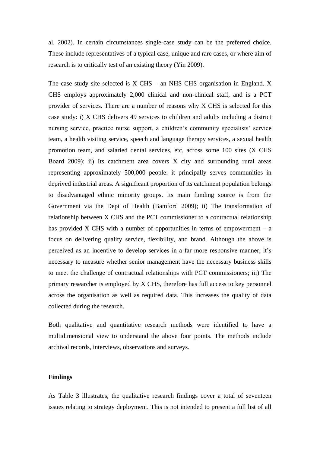al. 2002). In certain circumstances single-case study can be the preferred choice. These include representatives of a typical case, unique and rare cases, or where aim of research is to critically test of an existing theory (Yin 2009).

The case study site selected is  $X$  CHS – an NHS CHS organisation in England.  $X$ CHS employs approximately 2,000 clinical and non-clinical staff, and is a PCT provider of services. There are a number of reasons why X CHS is selected for this case study: i) X CHS delivers 49 services to children and adults including a district nursing service, practice nurse support, a children's community specialists' service team, a health visiting service, speech and language therapy services, a sexual health promotion team, and salaried dental services, etc, across some 100 sites (X CHS Board 2009); ii) Its catchment area covers X city and surrounding rural areas representing approximately 500,000 people: it principally serves communities in deprived industrial areas. A significant proportion of its catchment population belongs to disadvantaged ethnic minority groups. Its main funding source is from the Government via the Dept of Health (Bamford 2009); ii) The transformation of relationship between X CHS and the PCT commissioner to a contractual relationship has provided X CHS with a number of opportunities in terms of empowerment  $-$  a focus on delivering quality service, flexibility, and brand. Although the above is perceived as an incentive to develop services in a far more responsive manner, it's necessary to measure whether senior management have the necessary business skills to meet the challenge of contractual relationships with PCT commissioners; iii) The primary researcher is employed by X CHS, therefore has full access to key personnel across the organisation as well as required data. This increases the quality of data collected during the research.

Both qualitative and quantitative research methods were identified to have a multidimensional view to understand the above four points. The methods include archival records, interviews, observations and surveys.

#### **Findings**

As Table 3 illustrates, the qualitative research findings cover a total of seventeen issues relating to strategy deployment. This is not intended to present a full list of all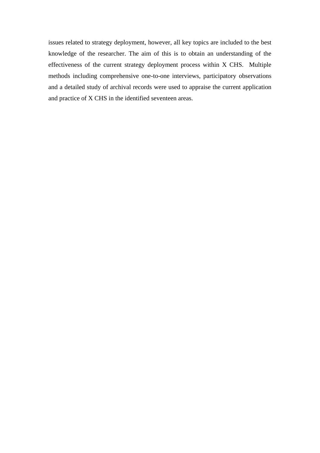issues related to strategy deployment, however, all key topics are included to the best knowledge of the researcher. The aim of this is to obtain an understanding of the effectiveness of the current strategy deployment process within X CHS. Multiple methods including comprehensive one-to-one interviews, participatory observations and a detailed study of archival records were used to appraise the current application and practice of X CHS in the identified seventeen areas.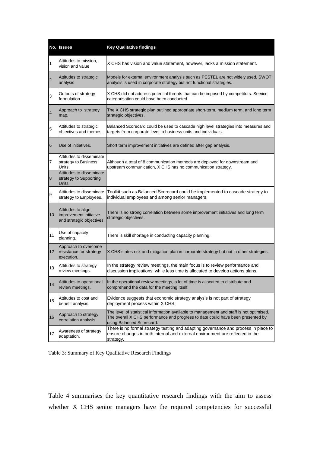|                  | No. Issues                                                                | <b>Key Qualitative findings</b>                                                                                                                                                                          |  |
|------------------|---------------------------------------------------------------------------|----------------------------------------------------------------------------------------------------------------------------------------------------------------------------------------------------------|--|
| $\mathbf{1}$     | Attitudes to mission,<br>vision and value                                 | X CHS has vision and value statement, however, lacks a mission statement.                                                                                                                                |  |
| $\overline{2}$   | Attitudes to strategic<br>analysis                                        | Models for external environment analysis such as PESTEL are not widely used. SWOT<br>analysis is used in corporate strategy but not functional strategies.                                               |  |
| 3                | Outputs of strategy<br>formulation                                        | X CHS did not address potential threats that can be imposed by competitors. Service<br>categorisation could have been conducted.                                                                         |  |
| $\overline{4}$   | Approach to strategy<br>map.                                              | The X CHS strategic plan outlined appropriate short-term, medium term, and long term<br>strategic objectives.                                                                                            |  |
| 5                | Attitudes to strategic<br>objectives and themes.                          | Balanced Scorecard could be used to cascade high level strategies into measures and<br>targets from corporate level to business units and individuals.                                                   |  |
| 6                | Use of initiatives.                                                       | Short term improvement initiatives are defined after gap analysis.                                                                                                                                       |  |
| 7                | Attitudes to disseminate<br>strategy to Business<br>Units.                | Although a total of 8 communication methods are deployed for downstream and<br>upstream communication, X CHS has no communication strategy.                                                              |  |
| 8                | Attitudes to disseminate<br>strategy to Supporting<br>Units.              |                                                                                                                                                                                                          |  |
| $\boldsymbol{9}$ | Attitudes to disseminate<br>strategy to Employees.                        | Toolkit such as Balanced Scorecard could be implemented to cascade strategy to<br>individual employees and among senior managers.                                                                        |  |
| 10               | Attitudes to align<br>improvement initiative<br>and strategic objectives. | There is no strong correlation between some improvement initiatives and long term<br>strategic objectives.                                                                                               |  |
| 11               | Use of capacity<br>planning.                                              | There is skill shortage in conducting capacity planning.                                                                                                                                                 |  |
| 12 <sup>°</sup>  | Approach to overcome<br>resistance for strategy<br>execution.             | X CHS states risk and mitigation plan in corporate strategy but not in other strategies.                                                                                                                 |  |
| 13               | Attitudes to strategy<br>review meetings.                                 | In the strategy review meetings, the main focus is to review performance and<br>discussion implications, while less time is allocated to develop actions plans.                                          |  |
| 14               | Attitudes to operational<br>review meetings.                              | In the operational review meetings, a lot of time is allocated to distribute and<br>comprehend the data for the meeting itself.                                                                          |  |
| 15               | Attitudes to cost and<br>benefit analysis.                                | Evidence suggests that economic strategy analysis is not part of strategy<br>deployment process within X CHS.                                                                                            |  |
| 16               | Approach to strategy<br>correlation analysis.                             | The level of statistical information available to management and staff is not optimised.<br>The overall X CHS performance and progress to date could have been presented by<br>using Balanced Scorecard. |  |
| 17               | Awareness of strategy<br>adaptation.                                      | There is no formal strategy testing and adapting governance and process in place to<br>ensure changes in both internal and external environment are reflected in the<br>strategy.                        |  |

|  |  |  |  |  | Table 3: Summary of Key Qualitative Research Findings |
|--|--|--|--|--|-------------------------------------------------------|
|--|--|--|--|--|-------------------------------------------------------|

Table 4 summarises the key quantitative research findings with the aim to assess whether X CHS senior managers have the required competencies for successful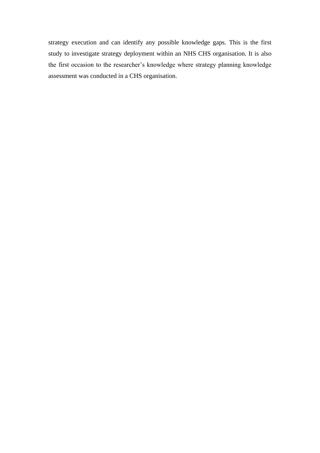strategy execution and can identify any possible knowledge gaps. This is the first study to investigate strategy deployment within an NHS CHS organisation. It is also the first occasion to the researcher's knowledge where strategy planning knowledge assessment was conducted in a CHS organisation.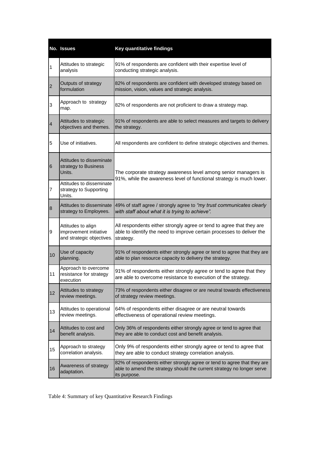|                | No. Issues                                                                | Key quantitative findings                                                                                                                                         |  |
|----------------|---------------------------------------------------------------------------|-------------------------------------------------------------------------------------------------------------------------------------------------------------------|--|
| 1              | Attitudes to strategic<br>analysis                                        | 91% of respondents are confident with their expertise level of<br>conducting strategic analysis.                                                                  |  |
| $\overline{2}$ | Outputs of strategy<br>formulation                                        | 82% of respondents are confident with developed strategy based on<br>mission, vision, values and strategic analysis.                                              |  |
| 3              | Approach to strategy<br>map.                                              | 82% of respondents are not proficient to draw a strategy map.                                                                                                     |  |
| $\overline{4}$ | Attitudes to strategic<br>objectives and themes.                          | 91% of respondents are able to select measures and targets to delivery<br>the strategy.                                                                           |  |
| 5              | Use of initiatives.                                                       | All respondents are confident to define strategic objectives and themes.                                                                                          |  |
| 6              | Attitudes to disseminate<br>strategy to Business<br>Units.                | The corporate strategy awareness level among senior managers is<br>91%, while the awareness level of functional strategy is much lower.                           |  |
| 7              | Attitudes to disseminate<br>strategy to Supporting<br>Units.              |                                                                                                                                                                   |  |
| 8              | Attitudes to disseminate<br>strategy to Employees.                        | 49% of staff agree / strongly agree to "my trust communicates clearly<br>with staff about what it is trying to achieve".                                          |  |
| 9              | Attitudes to align<br>improvement initiative<br>and strategic objectives. | All respondents either strongly agree or tend to agree that they are<br>able to identify the need to improve certain processes to deliver the<br>strategy.        |  |
| 10             | Use of capacity<br>planning.                                              | 91% of respondents either strongly agree or tend to agree that they are<br>able to plan resource capacity to delivery the strategy.                               |  |
| 11             | Approach to overcome<br>resistance for strategy<br>execution              | 91% of respondents either strongly agree or tend to agree that they<br>are able to overcome resistance to execution of the strategy.                              |  |
| 12             | Attitudes to strategy<br>review meetings.                                 | 73% of respondents either disagree or are neutral towards effectiveness<br>of strategy review meetings.                                                           |  |
| 13             | Attitudes to operational<br>review meetings.                              | 64% of respondents either disagree or are neutral towards<br>effectiveness of operational review meetings.                                                        |  |
| 14             | Attitudes to cost and<br>benefit analysis.                                | Only 36% of respondents either strongly agree or tend to agree that<br>they are able to conduct cost and benefit analysis.                                        |  |
| 15             | Approach to strategy<br>correlation analysis.                             | Only 9% of respondents either strongly agree or tend to agree that<br>they are able to conduct strategy correlation analysis.                                     |  |
| 16             | Awareness of strategy<br>adaptation.                                      | 82% of respondents either strongly agree or tend to agree that they are<br>able to amend the strategy should the current strategy no longer serve<br>its purpose. |  |

Table 4: Summary of key Quantitative Research Findings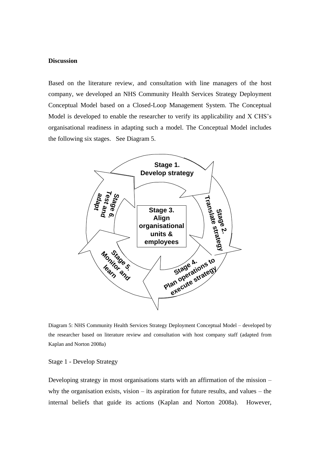#### **Discussion**

Based on the literature review, and consultation with line managers of the host company, we developed an NHS Community Health Services Strategy Deployment Conceptual Model based on a Closed-Loop Management System. The Conceptual Model is developed to enable the researcher to verify its applicability and X CHS's organisational readiness in adapting such a model. The Conceptual Model includes the following six stages. See Diagram 5.



Diagram 5: NHS Community Health Services Strategy Deployment Conceptual Model – developed by the researcher based on literature review and consultation with host company staff (adapted from Kaplan and Norton 2008a)

Stage 1 - Develop Strategy

Developing strategy in most organisations starts with an affirmation of the mission – why the organisation exists, vision – its aspiration for future results, and values – the internal beliefs that guide its actions (Kaplan and Norton 2008a). However,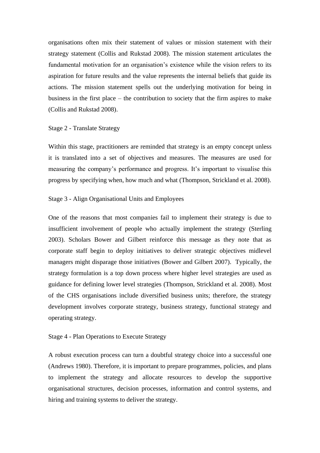organisations often mix their statement of values or mission statement with their strategy statement (Collis and Rukstad 2008). The mission statement articulates the fundamental motivation for an organisation's existence while the vision refers to its aspiration for future results and the value represents the internal beliefs that guide its actions. The mission statement spells out the underlying motivation for being in business in the first place – the contribution to society that the firm aspires to make (Collis and Rukstad 2008).

#### Stage 2 - Translate Strategy

Within this stage, practitioners are reminded that strategy is an empty concept unless it is translated into a set of objectives and measures. The measures are used for measuring the company's performance and progress. It's important to visualise this progress by specifying when, how much and what (Thompson, Strickland et al. 2008).

#### Stage 3 - Align Organisational Units and Employees

One of the reasons that most companies fail to implement their strategy is due to insufficient involvement of people who actually implement the strategy (Sterling 2003). Scholars Bower and Gilbert reinforce this message as they note that as corporate staff begin to deploy initiatives to deliver strategic objectives midlevel managers might disparage those initiatives (Bower and Gilbert 2007). Typically, the strategy formulation is a top down process where higher level strategies are used as guidance for defining lower level strategies (Thompson, Strickland et al. 2008). Most of the CHS organisations include diversified business units; therefore, the strategy development involves corporate strategy, business strategy, functional strategy and operating strategy.

#### Stage 4 - Plan Operations to Execute Strategy

A robust execution process can turn a doubtful strategy choice into a successful one (Andrews 1980). Therefore, it is important to prepare programmes, policies, and plans to implement the strategy and allocate resources to develop the supportive organisational structures, decision processes, information and control systems, and hiring and training systems to deliver the strategy.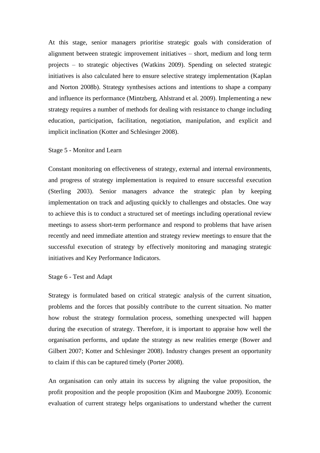At this stage, senior managers prioritise strategic goals with consideration of alignment between strategic improvement initiatives – short, medium and long term projects – to strategic objectives (Watkins 2009). Spending on selected strategic initiatives is also calculated here to ensure selective strategy implementation (Kaplan and Norton 2008b). Strategy synthesises actions and intentions to shape a company and influence its performance (Mintzberg, Ahlstrand et al. 2009). Implementing a new strategy requires a number of methods for dealing with resistance to change including education, participation, facilitation, negotiation, manipulation, and explicit and implicit inclination (Kotter and Schlesinger 2008).

### Stage 5 - Monitor and Learn

Constant monitoring on effectiveness of strategy, external and internal environments, and progress of strategy implementation is required to ensure successful execution (Sterling 2003). Senior managers advance the strategic plan by keeping implementation on track and adjusting quickly to challenges and obstacles. One way to achieve this is to conduct a structured set of meetings including operational review meetings to assess short-term performance and respond to problems that have arisen recently and need immediate attention and strategy review meetings to ensure that the successful execution of strategy by effectively monitoring and managing strategic initiatives and Key Performance Indicators.

#### Stage 6 - Test and Adapt

Strategy is formulated based on critical strategic analysis of the current situation, problems and the forces that possibly contribute to the current situation. No matter how robust the strategy formulation process, something unexpected will happen during the execution of strategy. Therefore, it is important to appraise how well the organisation performs, and update the strategy as new realities emerge (Bower and Gilbert 2007; Kotter and Schlesinger 2008). Industry changes present an opportunity to claim if this can be captured timely (Porter 2008).

An organisation can only attain its success by aligning the value proposition, the profit proposition and the people proposition (Kim and Mauborgne 2009). Economic evaluation of current strategy helps organisations to understand whether the current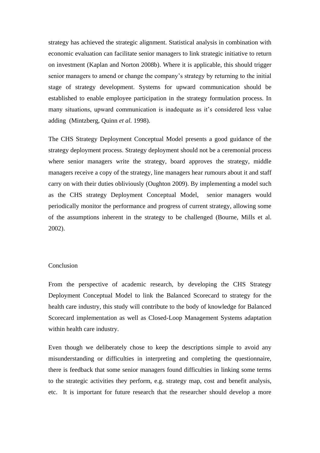strategy has achieved the strategic alignment. Statistical analysis in combination with economic evaluation can facilitate senior managers to link strategic initiative to return on investment (Kaplan and Norton 2008b). Where it is applicable, this should trigger senior managers to amend or change the company's strategy by returning to the initial stage of strategy development. Systems for upward communication should be established to enable employee participation in the strategy formulation process. In many situations, upward communication is inadequate as it's considered less value adding (Mintzberg, Quinn *et al.* 1998).

The CHS Strategy Deployment Conceptual Model presents a good guidance of the strategy deployment process. Strategy deployment should not be a ceremonial process where senior managers write the strategy, board approves the strategy, middle managers receive a copy of the strategy, line managers hear rumours about it and staff carry on with their duties obliviously (Oughton 2009). By implementing a model such as the CHS strategy Deployment Conceptual Model, senior managers would periodically monitor the performance and progress of current strategy, allowing some of the assumptions inherent in the strategy to be challenged (Bourne, Mills et al. 2002).

#### Conclusion

From the perspective of academic research, by developing the CHS Strategy Deployment Conceptual Model to link the Balanced Scorecard to strategy for the health care industry, this study will contribute to the body of knowledge for Balanced Scorecard implementation as well as Closed-Loop Management Systems adaptation within health care industry.

Even though we deliberately chose to keep the descriptions simple to avoid any misunderstanding or difficulties in interpreting and completing the questionnaire, there is feedback that some senior managers found difficulties in linking some terms to the strategic activities they perform, e.g. strategy map, cost and benefit analysis, etc. It is important for future research that the researcher should develop a more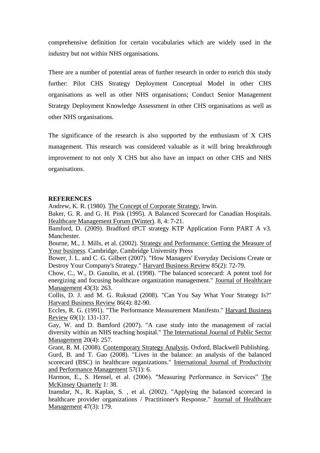comprehensive definition for certain vocabularies which are widely used in the industry but not within NHS organisations.

There are a number of potential areas of further research in order to enrich this study further: Pilot CHS Strategy Deployment Conceptual Model in other CHS organisations as well as other NHS organisations; Conduct Senior Management Strategy Deployment Knowledge Assessment in other CHS organisations as well as other NHS organisations.

The significance of the research is also supported by the enthusiasm of X CHS management. This research was considered valuable as it will bring breakthrough improvement to not only X CHS but also have an impact on other CHS and NHS organisations.

### **REFERENCES**

Andrew, K. R. (1980). The Concept of Corporate Strategy, Irwin.

Baker, G. R. and G. H. Pink (1995). A Balanced Scorecard for Canadian Hospitals. Healthcare Management Forum (Winter). 8, 4: 7-21.

Bamford, D. (2009). Bradford tPCT strategy KTP Application Form PART A v3. Manchester.

Bourne, M., J. Mills, et al. (2002). Strategy and Performance: Getting the Measure of Your business. Cambridge, Cambridge University Press

Bower, J. L. and C. G. Gilbert (2007). "How Managers' Everyday Decisions Create or Destroy Your Company's Strategy." Harvard Business Review 85(2): 72-79.

Chow, C., W., D. Ganulin, et al. (1998). "The balanced scorecard: A potent tool for energizing and focusing healthcare organization management." Journal of Healthcare Management 43(3): 263.

Collis, D. J. and M. G. Rukstad (2008). "Can You Say What Your Strategy Is?" Harvard Business Review 86(4): 82-90.

Eccles, R. G. (1991). "The Performance Measurement Manifesto." Harvard Business Review 69(1): 131-137.

Gay, W. and D. Bamford (2007). "A case study into the management of racial diversity within an NHS teaching hospital." The International Journal of Public Sector Management 20(4): 257.

Grant, R. M. (2008). Contemporary Strategy Analysis. Oxford, Blackwell Publishing. Gurd, B. and T. Gao (2008). "Lives in the balance: an analysis of the balanced scorecard (BSC) in healthcare organizations." International Journal of Productivity and Performance Management 57(1): 6.

Harmon, E., S. Hensel, et al. (2006). "Measuring Performance in Services" The McKinsey Quarterly 1: 38.

Inamdar, N., R. Kaplan, S. , et al. (2002). "Applying the balanced scorecard in healthcare provider organizations / Practitioner's Response." Journal of Healthcare Management 47(3): 179.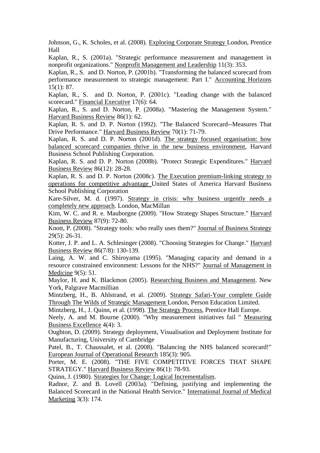Johnson, G., K. Scholes, et al. (2008). Exploring Corporate Strategy London, Prentice Hall

Kaplan, R., S. (2001a). "Strategic performance measurement and management in nonprofit organizations." Nonprofit Management and Leadership 11(3): 353.

Kaplan, R., S. and D. Norton, P. (2001b). "Transforming the balanced scorecard from performance measurement to strategic management: Part I." Accounting Horizons 15(1): 87.

Kaplan, R., S. and D. Norton, P. (2001c). "Leading change with the balanced scorecard." Financial Executive 17(6): 64.

Kaplan, R., S. and D. Norton, P. (2008a). "Mastering the Management System." Harvard Business Review 86(1): 62.

Kaplan, R. S. and D. P. Norton (1992). "The Balanced Scorecard--Measures That Drive Performance." Harvard Business Review 70(1): 71-79.

Kaplan, R. S. and D. P. Norton (2001d). The strategy focused organisation: how balanced scorecard companies thrive in the new business environment, Harvard Business School Publishing Corporation.

Kaplan, R. S. and D. P. Norton (2008b). "Protect Strategic Expenditures." Harvard Business Review 86(12): 28-28.

Kaplan, R. S. and D. P. Norton (2008c). The Execution premium-linking strategy to operations for competitive advantage United States of America Harvard Business School Publishing Corporation

Kare-Silver, M. d. (1997). Strategy in crisis: why business urgently needs a completely new approach. London, MacMillan

Kim, W. C. and R. e. Mauborgne (2009). "How Strategy Shapes Structure." Harvard Business Review 87(9): 72-80.

Knott, P. (2008). "Strategy tools: who really uses them?" Journal of Business Strategy 29(5): 26-31.

Kotter, J. P. and L. A. Schlesinger (2008). "Choosing Strategies for Change." Harvard Business Review 86(7/8): 130-139.

Laing, A. W. and C. Shiroyama (1995). "Managing capacity and demand in a resource constrained environment: Lessons for the NHS?" Journal of Management in Medicine 9(5): 51.

Maylor, H. and K. Blackmon (2005). Researching Business and Management. New York, Palgrave Macmillian

Mintzberg, H., B. Ahlstrand, et al. (2009). Strategy Safari-Your complete Guide Through The Wilds of Strategic Management London, Person Education Limited.

Mintzberg, H., J. Quinn, et al. (1998). The Strategy Process, Prentice Hall Europe.

Neely, A. and M. Bourne (2000). "Why measurement initiatives fail " Measuring Business Excellence 4(4): 3.

Oughton, D. (2009). Strategy deployment, Visualisation and Deployment Institute for Manufacturing, University of Cambridge

Patel, B., T. Chaussalet, et al. (2008). "Balancing the NHS balanced scorecard!" European Journal of Operational Research 185(3): 905.

Porter, M. E. (2008). "THE FIVE COMPETITIVE FORCES THAT SHAPE STRATEGY." Harvard Business Review 86(1): 78-93.

Quinn, J. (1980). Strategies for Change: Logical Incrementalism.

Radnor, Z. and B. Lovell (2003a). "Defining, justifying and implementing the Balanced Scorecard in the National Health Service." International Journal of Medical Marketing 3(3): 174.